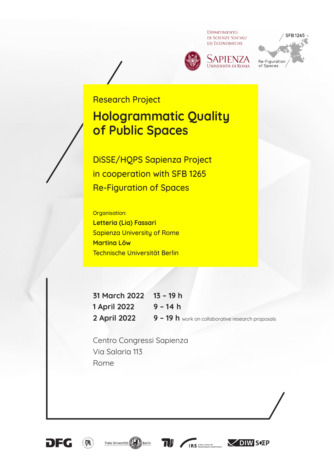**DIPARTIMENTO** DI SCIENZE SOCIALI **ED ECONOMICHE** 







## Research Project

# **Hologrammatic Quality of Public Spaces**

DiSSE/HQPS Sapienza Project in cooperation with SFB 1265 Re-Figuration of Spaces

Organisation: **Letteria (Lia) Fassari**

Sapienza University of Rome **Martina Löw**  Technische Universität Berlin

**31 March 2022 13 – 19 h 1 April 2022 9 – 14 h 2 April 2022 9 – 19 h** work on collaborative research proposals

Centro Congressi Sapienza Via Salaria 113 Rome